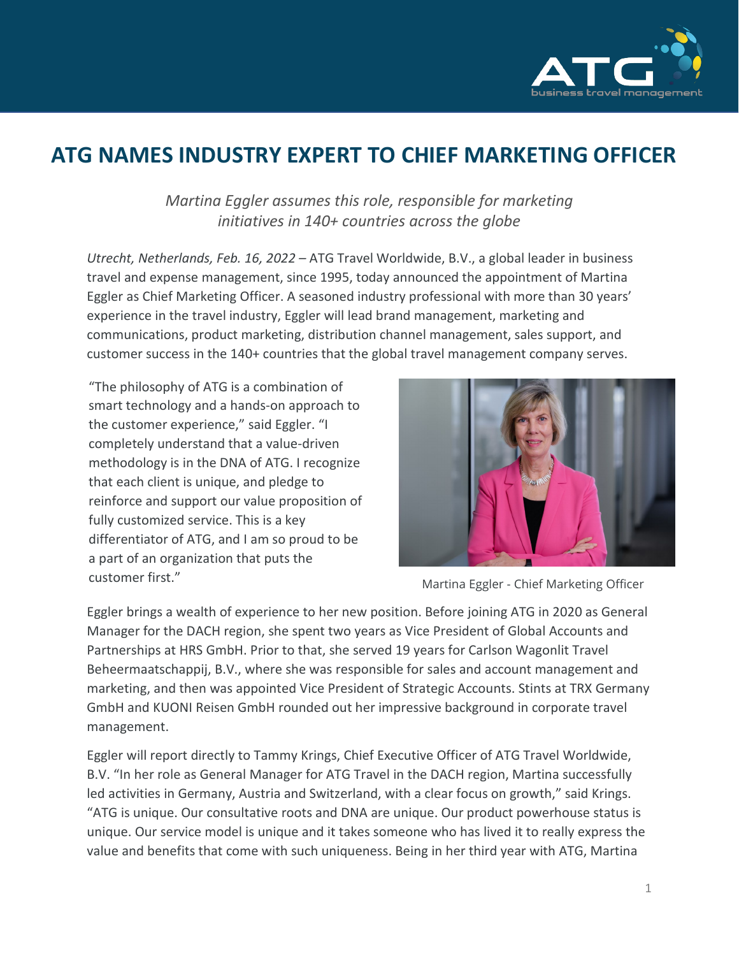

## **ATG NAMES INDUSTRY EXPERT TO CHIEF MARKETING OFFICER**

*Martina Eggler assumes this role, responsible for marketing initiatives in 140+ countries across the globe*

*Utrecht, Netherlands, Feb. 16, 2022 –* ATG Travel Worldwide, B.V., a global leader in business travel and expense management, since 1995, today announced the appointment of Martina Eggler as Chief Marketing Officer. A seasoned industry professional with more than 30 years' experience in the travel industry, Eggler will lead brand management, marketing and communications, product marketing, distribution channel management, sales support, and customer success in the 140+ countries that the global travel management company serves.

"The philosophy of ATG is a combination of smart technology and a hands-on approach to the customer experience," said Eggler. "I completely understand that a value-driven methodology is in the DNA of ATG. I recognize that each client is unique, and pledge to reinforce and support our value proposition of fully customized service. This is a key differentiator of ATG, and I am so proud to be a part of an organization that puts the customer first." The Contraction of the Martina Eggler - Chief Marketing Officer



Eggler brings a wealth of experience to her new position. Before joining ATG in 2020 as General Manager for the DACH region, she spent two years as Vice President of Global Accounts and Partnerships at HRS GmbH. Prior to that, she served 19 years for Carlson Wagonlit Travel Beheermaatschappij, B.V., where she was responsible for sales and account management and marketing, and then was appointed Vice President of Strategic Accounts. Stints at TRX Germany GmbH and KUONI Reisen GmbH rounded out her impressive background in corporate travel management.

Eggler will report directly to Tammy Krings, Chief Executive Officer of ATG Travel Worldwide, B.V. "In her role as General Manager for ATG Travel in the DACH region, Martina successfully led activities in Germany, Austria and Switzerland, with a clear focus on growth," said Krings. "ATG is unique. Our consultative roots and DNA are unique. Our product powerhouse status is unique. Our service model is unique and it takes someone who has lived it to really express the value and benefits that come with such uniqueness. Being in her third year with ATG, Martina